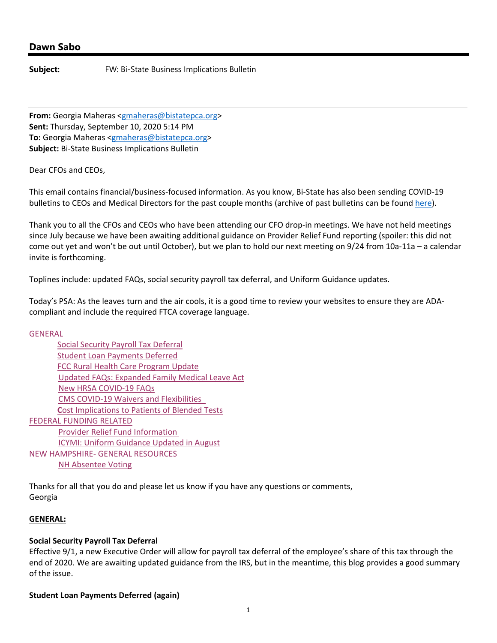# **Dawn Sabo**

**Subject:** FW: Bi-State Business Implications Bulletin

**From:** Georgia Maheras <gmaheras@bistatepca.org> **Sent:** Thursday, September 10, 2020 5:14 PM **To:** Georgia Maheras <gmaheras@bistatepca.org> **Subject:** Bi‐State Business Implications Bulletin

Dear CFOs and CEOs,

This email contains financial/business‐focused information. As you know, Bi‐State has also been sending COVID‐19 bulletins to CEOs and Medical Directors for the past couple months (archive of past bulletins can be found here).

Thank you to all the CFOs and CEOs who have been attending our CFO drop‐in meetings. We have not held meetings since July because we have been awaiting additional guidance on Provider Relief Fund reporting (spoiler: this did not come out yet and won't be out until October), but we plan to hold our next meeting on 9/24 from 10a‐11a – a calendar invite is forthcoming.

Toplines include: updated FAQs, social security payroll tax deferral, and Uniform Guidance updates.

Today's PSA: As the leaves turn and the air cools, it is a good time to review your websites to ensure they are ADA‐ compliant and include the required FTCA coverage language.

**GENERAL** 

| <b>Social Security Payroll Tax Deferral</b>            |
|--------------------------------------------------------|
| <b>Student Loan Payments Deferred</b>                  |
| <b>FCC Rural Health Care Program Update</b>            |
| <b>Updated FAQs: Expanded Family Medical Leave Act</b> |
| <b>New HRSA COVID-19 FAQs</b>                          |
| <b>CMS COVID-19 Waivers and Flexibilities</b>          |
| <b>Cost Implications to Patients of Blended Tests</b>  |
| <b>FEDERAL FUNDING RELATED</b>                         |
| <b>Provider Relief Fund Information</b>                |
| <b>ICYMI: Uniform Guidance Updated in August</b>       |
| NEW HAMPSHIRE- GENERAL RESOURCES                       |
| <b>NH Absentee Voting</b>                              |
|                                                        |

Thanks for all that you do and please let us know if you have any questions or comments, Georgia

### **GENERAL:**

### **Social Security Payroll Tax Deferral**

Effective 9/1, a new Executive Order will allow for payroll tax deferral of the employee's share of this tax through the end of 2020. We are awaiting updated guidance from the IRS, but in the meantime, this blog provides a good summary of the issue.

**Student Loan Payments Deferred (again)**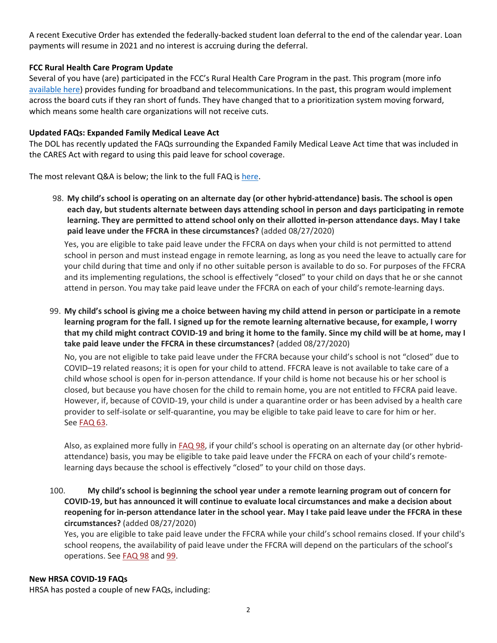A recent Executive Order has extended the federally‐backed student loan deferral to the end of the calendar year. Loan payments will resume in 2021 and no interest is accruing during the deferral.

# **FCC Rural Health Care Program Update**

Several of you have (are) participated in the FCC's Rural Health Care Program in the past. This program (more info available here) provides funding for broadband and telecommunications. In the past, this program would implement across the board cuts if they ran short of funds. They have changed that to a prioritization system moving forward, which means some health care organizations will not receive cuts.

# **Updated FAQs: Expanded Family Medical Leave Act**

The DOL has recently updated the FAQs surrounding the Expanded Family Medical Leave Act time that was included in the CARES Act with regard to using this paid leave for school coverage.

The most relevant Q&A is below; the link to the full FAQ is here.

98. My child's school is operating on an alternate day (or other hybrid-attendance) basis. The school is open **each day, but students alternate between days attending school in person and days participating in remote** learning. They are permitted to attend school only on their allotted in-person attendance days. May I take **paid leave under the FFCRA in these circumstances?** (added 08/27/2020)

Yes, you are eligible to take paid leave under the FFCRA on days when your child is not permitted to attend school in person and must instead engage in remote learning, as long as you need the leave to actually care for your child during that time and only if no other suitable person is available to do so. For purposes of the FFCRA and its implementing regulations, the school is effectively "closed" to your child on days that he or she cannot attend in person. You may take paid leave under the FFCRA on each of your child's remote‐learning days.

99. My child's school is giving me a choice between having my child attend in person or participate in a remote learning program for the fall. I signed up for the remote learning alternative because, for example, I worry that my child might contract COVID-19 and bring it home to the family. Since my child will be at home, may I **take paid leave under the FFCRA in these circumstances?** (added 08/27/2020)

No, you are not eligible to take paid leave under the FFCRA because your child's school is not "closed" due to COVID–19 related reasons; it is open for your child to attend. FFCRA leave is not available to take care of a child whose school is open for in‐person attendance. If your child is home not because his or her school is closed, but because you have chosen for the child to remain home, you are not entitled to FFCRA paid leave. However, if, because of COVID‐19, your child is under a quarantine order or has been advised by a health care provider to self‐isolate or self‐quarantine, you may be eligible to take paid leave to care for him or her. See **FAQ 63**.

Also, as explained more fully in FAQ 98, if your child's school is operating on an alternate day (or other hybrid‐ attendance) basis, you may be eligible to take paid leave under the FFCRA on each of your child's remote‐ learning days because the school is effectively "closed" to your child on those days.

100. **My child's school is beginning the school year under a remote learning program out of concern for** COVID-19, but has announced it will continue to evaluate local circumstances and make a decision about reopening for in-person attendance later in the school year. May I take paid leave under the FFCRA in these **circumstances?** (added 08/27/2020)

Yes, you are eligible to take paid leave under the FFCRA while your child's school remains closed. If your child's school reopens, the availability of paid leave under the FFCRA will depend on the particulars of the school's operations. See FAQ 98 and 99.

# **New HRSA COVID‐19 FAQs**

HRSA has posted a couple of new FAQs, including: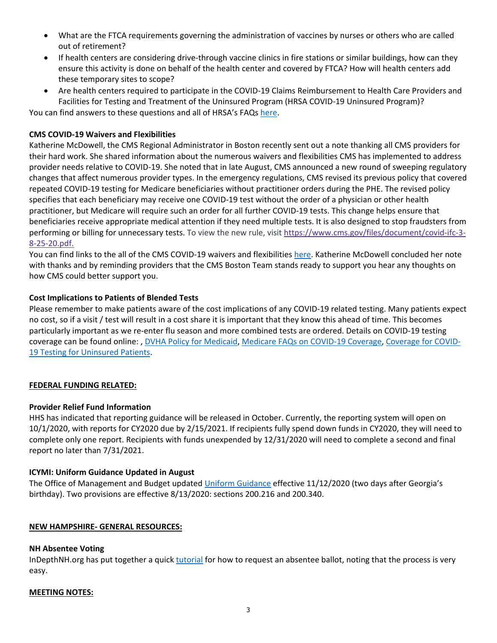- What are the FTCA requirements governing the administration of vaccines by nurses or others who are called out of retirement?
- If health centers are considering drive-through vaccine clinics in fire stations or similar buildings, how can they ensure this activity is done on behalf of the health center and covered by FTCA? How will health centers add these temporary sites to scope?
- Are health centers required to participate in the COVID‐19 Claims Reimbursement to Health Care Providers and Facilities for Testing and Treatment of the Uninsured Program (HRSA COVID‐19 Uninsured Program)? You can find answers to these questions and all of HRSA's FAQs here.

# **CMS COVID‐19 Waivers and Flexibilities**

Katherine McDowell, the CMS Regional Administrator in Boston recently sent out a note thanking all CMS providers for their hard work. She shared information about the numerous waivers and flexibilities CMS has implemented to address provider needs relative to COVID‐19. She noted that in late August, CMS announced a new round of sweeping regulatory changes that affect numerous provider types. In the emergency regulations, CMS revised its previous policy that covered repeated COVID‐19 testing for Medicare beneficiaries without practitioner orders during the PHE. The revised policy specifies that each beneficiary may receive one COVID‐19 test without the order of a physician or other health practitioner, but Medicare will require such an order for all further COVID‐19 tests. This change helps ensure that beneficiaries receive appropriate medical attention if they need multiple tests. It is also designed to stop fraudsters from performing or billing for unnecessary tests. To view the new rule, visit https://www.cms.gov/files/document/covid‐ifc‐3‐ 8‐25‐20.pdf.

You can find links to the all of the CMS COVID-19 waivers and flexibilities here. Katherine McDowell concluded her note with thanks and by reminding providers that the CMS Boston Team stands ready to support you hear any thoughts on how CMS could better support you.

# **Cost Implications to Patients of Blended Tests**

Please remember to make patients aware of the cost implications of any COVID‐19 related testing. Many patients expect no cost, so if a visit / test will result in a cost share it is important that they know this ahead of time. This becomes particularly important as we re‐enter flu season and more combined tests are ordered. Details on COVID‐19 testing coverage can be found online: , DVHA Policy for Medicaid, Medicare FAQs on COVID‐19 Coverage, Coverage for COVID‐ 19 Testing for Uninsured Patients.

# **FEDERAL FUNDING RELATED:**

# **Provider Relief Fund Information**

HHS has indicated that reporting guidance will be released in October. Currently, the reporting system will open on 10/1/2020, with reports for CY2020 due by 2/15/2021. If recipients fully spend down funds in CY2020, they will need to complete only one report. Recipients with funds unexpended by 12/31/2020 will need to complete a second and final report no later than 7/31/2021.

# **ICYMI: Uniform Guidance Updated in August**

The Office of Management and Budget updated Uniform Guidance effective 11/12/2020 (two days after Georgia's birthday). Two provisions are effective 8/13/2020: sections 200.216 and 200.340.

# **NEW HAMPSHIRE‐ GENERAL RESOURCES:**

# **NH Absentee Voting**

InDepthNH.org has put together a quick tutorial for how to request an absentee ballot, noting that the process is very easy.

### **MEETING NOTES:**